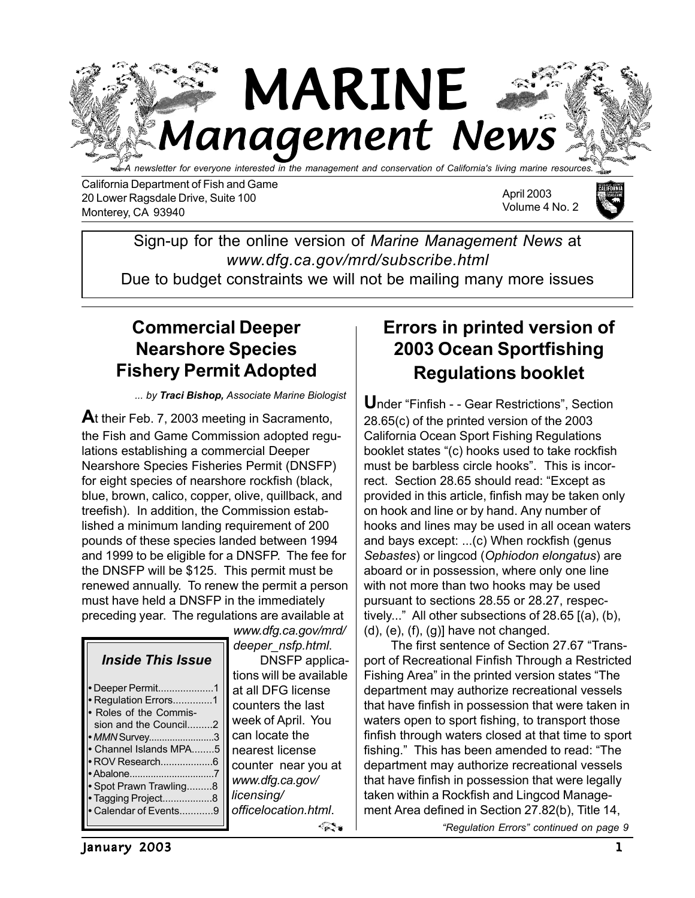

California Department of Fish and Game 20 Lower Ragsdale Drive, Suite 100 Monterey, CA 93940

April 2003 Volume 4 No. 2



Sign-up for the online version of *Marine Management News* at *www.dfg.ca.gov/mrd/subscribe.html*

Due to budget constraints we will not be mailing many more issues

## **Commercial Deeper Nearshore Species Fishery Permit Adopted**

*... by Traci Bishop, Associate Marine Biologist*

**A**t their Feb. 7, 2003 meeting in Sacramento, the Fish and Game Commission adopted regulations establishing a commercial Deeper Nearshore Species Fisheries Permit (DNSFP) for eight species of nearshore rockfish (black, blue, brown, calico, copper, olive, quillback, and treefish). In addition, the Commission established a minimum landing requirement of 200 pounds of these species landed between 1994 and 1999 to be eligible for a DNSFP. The fee for the DNSFP will be \$125. This permit must be renewed annually. To renew the permit a person must have held a DNSFP in the immediately preceding year. The regulations are available at

| <i><b>Inside This Issue</b></i><br>• Deeper Permit1<br>Regulation Errors1<br>Roles of the Commis-<br>sion and the Council2<br>• MMN Survey3<br>Channel Islands MPA5<br>• ROV Research6<br>Abalone7<br>Spot Prawn Trawling8<br>Tagging Project8<br>Calendar of Events9 |  |
|-----------------------------------------------------------------------------------------------------------------------------------------------------------------------------------------------------------------------------------------------------------------------|--|
|                                                                                                                                                                                                                                                                       |  |
|                                                                                                                                                                                                                                                                       |  |

*www.dfg.ca.gov/mrd/ deeper\_nsfp.html*. DNSFP applications will be available at all DFG license counters the last week of April. You can locate the nearest license counter near you at *www.dfg.ca.gov/ licensing/ officelocation.html*. ≪≥≈

# **Errors in printed version of 2003 Ocean Sportfishing Regulations booklet**

**U**nder "Finfish - - Gear Restrictions", Section 28.65(c) of the printed version of the 2003 California Ocean Sport Fishing Regulations booklet states "(c) hooks used to take rockfish must be barbless circle hooks". This is incorrect. Section 28.65 should read: "Except as provided in this article, finfish may be taken only on hook and line or by hand. Any number of hooks and lines may be used in all ocean waters and bays except: ...(c) When rockfish (genus *Sebastes*) or lingcod (*Ophiodon elongatus*) are aboard or in possession, where only one line with not more than two hooks may be used pursuant to sections 28.55 or 28.27, respectively..." All other subsections of 28.65 [(a), (b),  $(d)$ ,  $(e)$ ,  $(f)$ ,  $(g)$ ] have not changed.

The first sentence of Section 27.67 "Transport of Recreational Finfish Through a Restricted Fishing Area" in the printed version states "The department may authorize recreational vessels that have finfish in possession that were taken in waters open to sport fishing, to transport those finfish through waters closed at that time to sport fishing." This has been amended to read: "The department may authorize recreational vessels that have finfish in possession that were legally taken within a Rockfish and Lingcod Management Area defined in Section 27.82(b), Title 14,

*"Regulation Errors" continued on page 9*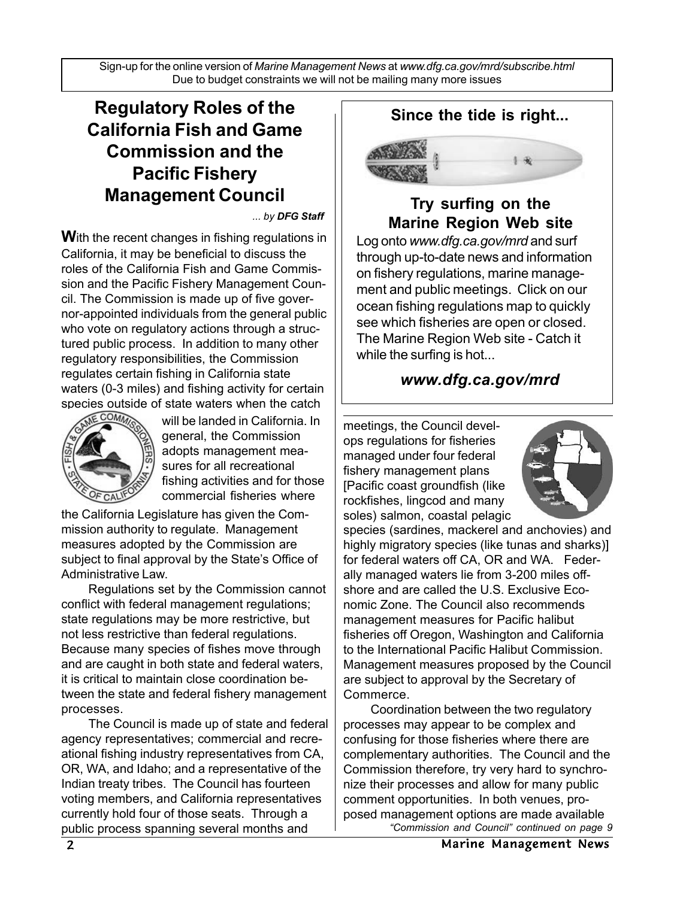Sign-up for the online version of *Marine Management News* at *www.dfg.ca.gov/mrd/subscribe.html* Due to budget constraints we will not be mailing many more issues

## **Regulatory Roles of the California Fish and Game Commission and the Pacific Fishery Management Council**

*... by DFG Staff*

**W**ith the recent changes in fishing regulations in California, it may be beneficial to discuss the roles of the California Fish and Game Commission and the Pacific Fishery Management Council. The Commission is made up of five governor-appointed individuals from the general public who vote on regulatory actions through a structured public process. In addition to many other regulatory responsibilities, the Commission regulates certain fishing in California state waters (0-3 miles) and fishing activity for certain species outside of state waters when the catch



will be landed in California. In general, the Commission adopts management measures for all recreational fishing activities and for those commercial fisheries where

the California Legislature has given the Commission authority to regulate. Management measures adopted by the Commission are subject to final approval by the State's Office of Administrative Law.

Regulations set by the Commission cannot conflict with federal management regulations; state regulations may be more restrictive, but not less restrictive than federal regulations. Because many species of fishes move through and are caught in both state and federal waters, it is critical to maintain close coordination between the state and federal fishery management processes.

The Council is made up of state and federal agency representatives; commercial and recreational fishing industry representatives from CA, OR, WA, and Idaho; and a representative of the Indian treaty tribes. The Council has fourteen voting members, and California representatives currently hold four of those seats. Through a public process spanning several months and

**Since the tide is right...**



**Try surfing on the Marine Region Web site**

Log onto *www.dfg.ca.gov/mrd* and surf through up-to-date news and information on fishery regulations, marine management and public meetings. Click on our ocean fishing regulations map to quickly see which fisheries are open or closed. The Marine Region Web site - Catch it while the surfing is hot...

## *www.dfg.ca.gov/mrd*

meetings, the Council develops regulations for fisheries managed under four federal fishery management plans [Pacific coast groundfish (like rockfishes, lingcod and many soles) salmon, coastal pelagic



species (sardines, mackerel and anchovies) and highly migratory species (like tunas and sharks)] for federal waters off CA, OR and WA. Federally managed waters lie from 3-200 miles offshore and are called the U.S. Exclusive Economic Zone. The Council also recommends management measures for Pacific halibut fisheries off Oregon, Washington and California to the International Pacific Halibut Commission. Management measures proposed by the Council are subject to approval by the Secretary of Commerce.

Coordination between the two regulatory processes may appear to be complex and confusing for those fisheries where there are complementary authorities. The Council and the Commission therefore, try very hard to synchronize their processes and allow for many public comment opportunities. In both venues, proposed management options are made available *"Commission and Council" continued on page 9*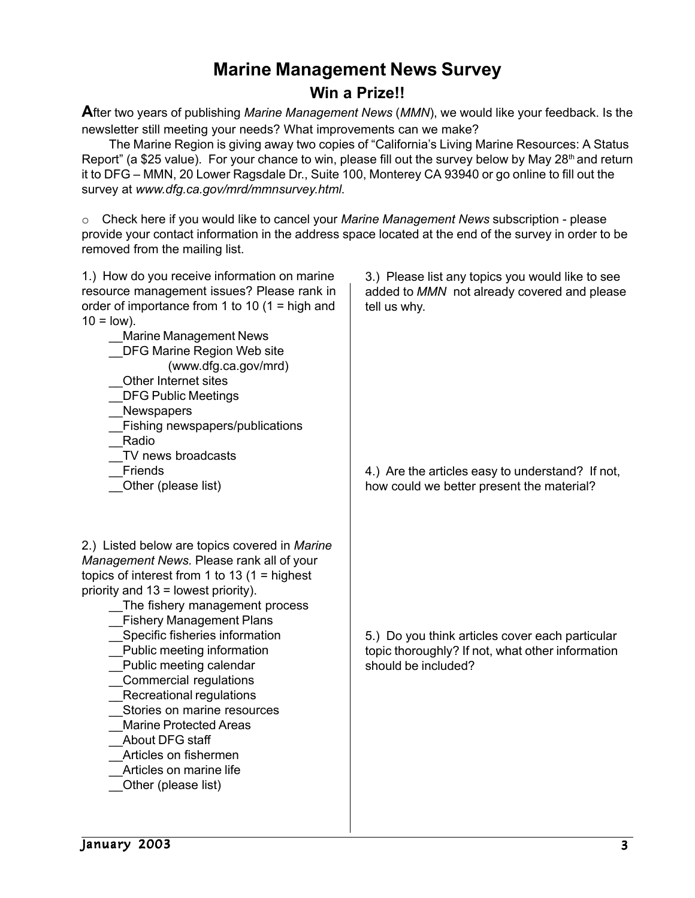# **Marine Management News Survey**

#### **Win a Prize!!**

**A**fter two years of publishing *Marine Management News* (*MMN*), we would like your feedback. Is the newsletter still meeting your needs? What improvements can we make?

The Marine Region is giving away two copies of "California's Living Marine Resources: A Status Report" (a \$25 value). For your chance to win, please fill out the survey below by May 28<sup>th</sup> and return it to DFG – MMN, 20 Lower Ragsdale Dr., Suite 100, Monterey CA 93940 or go online to fill out the survey at *www.dfg.ca.gov/mrd/mmnsurvey.html*.

o Check here if you would like to cancel your *Marine Management News* subscription - please provide your contact information in the address space located at the end of the survey in order to be removed from the mailing list.

| 1.) How do you receive information on marine<br>resource management issues? Please rank in<br>order of importance from 1 to 10 (1 = high and<br>$10 = \text{low}$ ).<br>Marine Management News<br><b>DFG Marine Region Web site</b><br>(www.dfg.ca.gov/mrd)<br>Other Internet sites<br><b>DFG Public Meetings</b><br>Newspapers<br>Fishing newspapers/publications<br>Radio                                                                                                                                                                                            | 3.) Please list any topics you would like to see<br>added to MMN not already covered and please<br>tell us why.            |
|------------------------------------------------------------------------------------------------------------------------------------------------------------------------------------------------------------------------------------------------------------------------------------------------------------------------------------------------------------------------------------------------------------------------------------------------------------------------------------------------------------------------------------------------------------------------|----------------------------------------------------------------------------------------------------------------------------|
| TV news broadcasts<br>Friends<br>Other (please list)                                                                                                                                                                                                                                                                                                                                                                                                                                                                                                                   | 4.) Are the articles easy to understand? If not,<br>how could we better present the material?                              |
| 2.) Listed below are topics covered in Marine<br>Management News. Please rank all of your<br>topics of interest from 1 to 13 $(1 =$ highest<br>priority and 13 = lowest priority).<br>The fishery management process<br><b>Fishery Management Plans</b><br>Specific fisheries information<br>Public meeting information<br>Public meeting calendar<br>Commercial regulations<br>Recreational regulations<br>Stories on marine resources<br><b>Marine Protected Areas</b><br>About DFG staff<br>Articles on fishermen<br>Articles on marine life<br>Other (please list) | 5.) Do you think articles cover each particular<br>topic thoroughly? If not, what other information<br>should be included? |

January 2003 3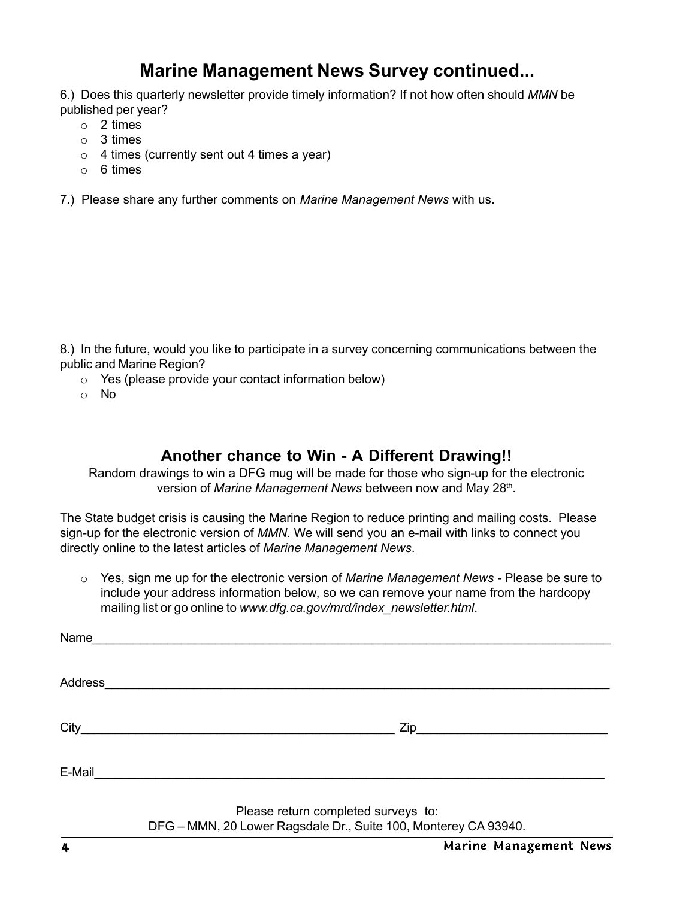## **Marine Management News Survey continued...**

6.) Does this quarterly newsletter provide timely information? If not how often should *MMN* be published per year?

- o 2 times
- o 3 times
- $\circ$  4 times (currently sent out 4 times a year)
- o 6 times
- 7.) Please share any further comments on *Marine Management News* with us.

8.) In the future, would you like to participate in a survey concerning communications between the public and Marine Region?

- o Yes (please provide your contact information below)
- o No

## **Another chance to Win - A Different Drawing!!**

Random drawings to win a DFG mug will be made for those who sign-up for the electronic version of *Marine Management News* between now and May 28<sup>th</sup>.

The State budget crisis is causing the Marine Region to reduce printing and mailing costs. Please sign-up for the electronic version of *MMN*. We will send you an e-mail with links to connect you directly online to the latest articles of *Marine Management News*.

o Yes, sign me up for the electronic version of *Marine Management News -* Please be sure to include your address information below, so we can remove your name from the hardcopy mailing list or go online to *www.dfg.ca.gov/mrd/index\_newsletter.html*.

| Name                                                                                                           |  |  |  |  |  |
|----------------------------------------------------------------------------------------------------------------|--|--|--|--|--|
|                                                                                                                |  |  |  |  |  |
|                                                                                                                |  |  |  |  |  |
| Address <b>Management Communication</b>                                                                        |  |  |  |  |  |
|                                                                                                                |  |  |  |  |  |
|                                                                                                                |  |  |  |  |  |
|                                                                                                                |  |  |  |  |  |
|                                                                                                                |  |  |  |  |  |
| E-Mail 2008 2009 2009 2010 2021 2022 2023 2024 2022 2022 2023 2024 2022 2023 2024 2022 2023 2024 2025 2026 202 |  |  |  |  |  |
|                                                                                                                |  |  |  |  |  |
| Please return completed surveys to:                                                                            |  |  |  |  |  |

DFG – MMN, 20 Lower Ragsdale Dr., Suite 100, Monterey CA 93940.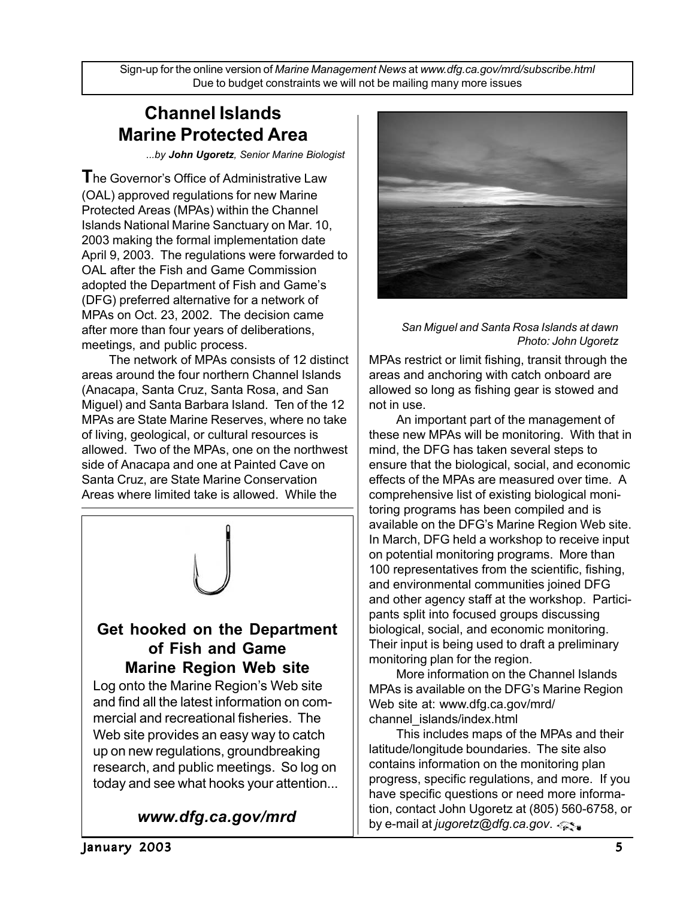Sign-up for the online version of *Marine Management News* at *www.dfg.ca.gov/mrd/subscribe.html* Due to budget constraints we will not be mailing many more issues

## **Channel Islands Marine Protected Area**

*...by John Ugoretz, Senior Marine Biologist*

**T**he Governor's Office of Administrative Law (OAL) approved regulations for new Marine Protected Areas (MPAs) within the Channel Islands National Marine Sanctuary on Mar. 10, 2003 making the formal implementation date April 9, 2003. The regulations were forwarded to OAL after the Fish and Game Commission adopted the Department of Fish and Game's (DFG) preferred alternative for a network of MPAs on Oct. 23, 2002. The decision came after more than four years of deliberations, meetings, and public process.

The network of MPAs consists of 12 distinct areas around the four northern Channel Islands (Anacapa, Santa Cruz, Santa Rosa, and San Miguel) and Santa Barbara Island. Ten of the 12 MPAs are State Marine Reserves, where no take of living, geological, or cultural resources is allowed. Two of the MPAs, one on the northwest side of Anacapa and one at Painted Cave on Santa Cruz, are State Marine Conservation Areas where limited take is allowed. While the



#### **Get hooked on the Department of Fish and Game Marine Region Web site**

Log onto the Marine Region's Web site and find all the latest information on commercial and recreational fisheries. The Web site provides an easy way to catch up on new regulations, groundbreaking research, and public meetings. So log on today and see what hooks your attention...

## *www.dfg.ca.gov/mrd*



#### *San Miguel and Santa Rosa Islands at dawn Photo: John Ugoretz*

MPAs restrict or limit fishing, transit through the areas and anchoring with catch onboard are allowed so long as fishing gear is stowed and not in use.

An important part of the management of these new MPAs will be monitoring. With that in mind, the DFG has taken several steps to ensure that the biological, social, and economic effects of the MPAs are measured over time. A comprehensive list of existing biological monitoring programs has been compiled and is available on the DFG's Marine Region Web site. In March, DFG held a workshop to receive input on potential monitoring programs. More than 100 representatives from the scientific, fishing, and environmental communities joined DFG and other agency staff at the workshop. Participants split into focused groups discussing biological, social, and economic monitoring. Their input is being used to draft a preliminary monitoring plan for the region.

More information on the Channel Islands MPAs is available on the DFG's Marine Region Web site at: www.dfg.ca.gov/mrd/ channel\_islands/index.html

This includes maps of the MPAs and their latitude/longitude boundaries. The site also contains information on the monitoring plan progress, specific regulations, and more. If you have specific questions or need more information, contact John Ugoretz at (805) 560-6758, or by e-mail at *jugoretz@dfg.ca.gov*.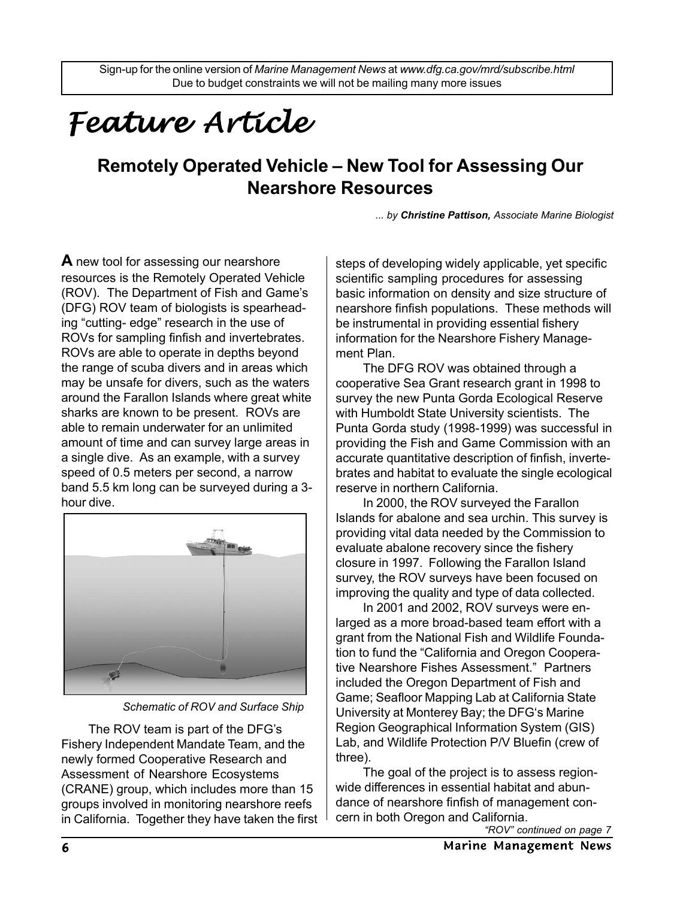# *Feature Article Feature Article*

## **Remotely Operated Vehicle – New Tool for Assessing Our Nearshore Resources**

*... by Christine Pattison, Associate Marine Biologist*

**A** new tool for assessing our nearshore resources is the Remotely Operated Vehicle (ROV). The Department of Fish and Game's (DFG) ROV team of biologists is spearheading "cutting- edge" research in the use of ROVs for sampling finfish and invertebrates. ROVs are able to operate in depths beyond the range of scuba divers and in areas which may be unsafe for divers, such as the waters around the Farallon Islands where great white sharks are known to be present. ROVs are able to remain underwater for an unlimited amount of time and can survey large areas in a single dive. As an example, with a survey speed of 0.5 meters per second, a narrow band 5.5 km long can be surveyed during a 3 hour dive.



*Schematic of ROV and Surface Ship*

The ROV team is part of the DFG's Fishery Independent Mandate Team, and the newly formed Cooperative Research and Assessment of Nearshore Ecosystems (CRANE) group, which includes more than 15 groups involved in monitoring nearshore reefs in California. Together they have taken the first steps of developing widely applicable, yet specific scientific sampling procedures for assessing basic information on density and size structure of nearshore finfish populations. These methods will be instrumental in providing essential fishery information for the Nearshore Fishery Management Plan.

The DFG ROV was obtained through a cooperative Sea Grant research grant in 1998 to survey the new Punta Gorda Ecological Reserve with Humboldt State University scientists. The Punta Gorda study (1998-1999) was successful in providing the Fish and Game Commission with an accurate quantitative description of finfish, invertebrates and habitat to evaluate the single ecological reserve in northern California.

In 2000, the ROV surveyed the Farallon Islands for abalone and sea urchin. This survey is providing vital data needed by the Commission to evaluate abalone recovery since the fishery closure in 1997. Following the Farallon Island survey, the ROV surveys have been focused on improving the quality and type of data collected.

In 2001 and 2002, ROV surveys were enlarged as a more broad-based team effort with a grant from the National Fish and Wildlife Foundation to fund the "California and Oregon Cooperative Nearshore Fishes Assessment." Partners included the Oregon Department of Fish and Game; Seafloor Mapping Lab at California State University at Monterey Bay; the DFG's Marine Region Geographical Information System (GIS) Lab, and Wildlife Protection P/V Bluefin (crew of three).

The goal of the project is to assess regionwide differences in essential habitat and abundance of nearshore finfish of management concern in both Oregon and California.

*<sup>&</sup>quot;ROV" continued on page 7*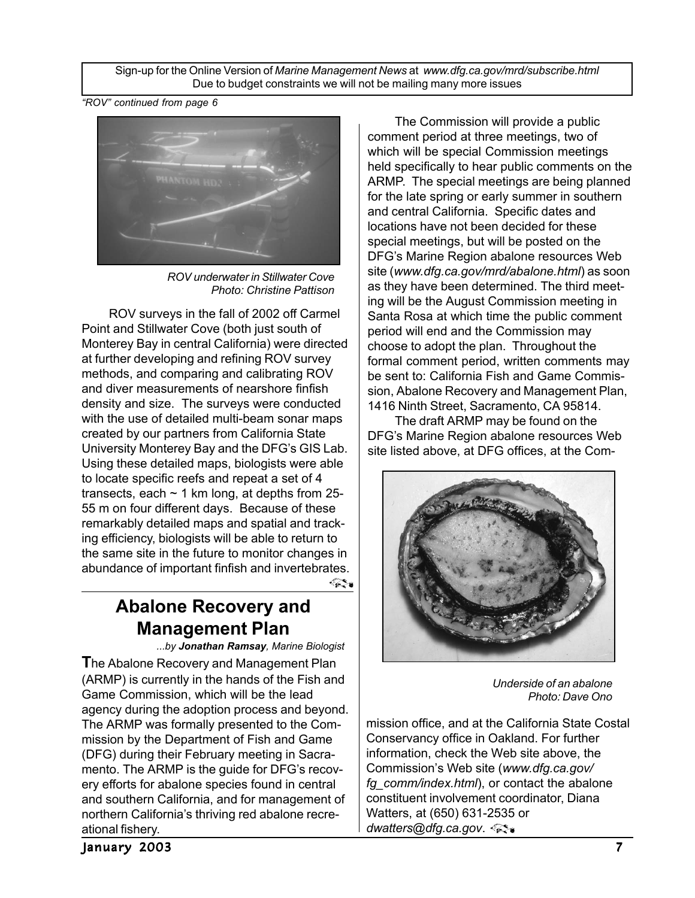Sign-up for the Online Version of *Marine Management News* at *www.dfg.ca.gov/mrd/subscribe.html* Due to budget constraints we will not be mailing many more issues

*"ROV" continued from page 6*



*ROV underwater in Stillwater Cove Photo: Christine Pattison*

ROV surveys in the fall of 2002 off Carmel Point and Stillwater Cove (both just south of Monterey Bay in central California) were directed at further developing and refining ROV survey methods, and comparing and calibrating ROV and diver measurements of nearshore finfish density and size. The surveys were conducted with the use of detailed multi-beam sonar maps created by our partners from California State University Monterey Bay and the DFG's GIS Lab. Using these detailed maps, biologists were able to locate specific reefs and repeat a set of 4 transects, each  $\sim$  1 km long, at depths from 25-55 m on four different days. Because of these remarkably detailed maps and spatial and tracking efficiency, biologists will be able to return to the same site in the future to monitor changes in abundance of important finfish and invertebrates.

> **Abalone Recovery and Management Plan**

*...by Jonathan Ramsay, Marine Biologist* **T**he Abalone Recovery and Management Plan (ARMP) is currently in the hands of the Fish and Game Commission, which will be the lead agency during the adoption process and beyond. The ARMP was formally presented to the Commission by the Department of Fish and Game (DFG) during their February meeting in Sacramento. The ARMP is the guide for DFG's recovery efforts for abalone species found in central and southern California, and for management of northern California's thriving red abalone recreational fishery.

The Commission will provide a public comment period at three meetings, two of which will be special Commission meetings held specifically to hear public comments on the ARMP. The special meetings are being planned for the late spring or early summer in southern and central California. Specific dates and locations have not been decided for these special meetings, but will be posted on the DFG's Marine Region abalone resources Web site (*www.dfg.ca.gov/mrd/abalone.html*) as soon as they have been determined. The third meeting will be the August Commission meeting in Santa Rosa at which time the public comment period will end and the Commission may choose to adopt the plan. Throughout the formal comment period, written comments may be sent to: California Fish and Game Commission, Abalone Recovery and Management Plan, 1416 Ninth Street, Sacramento, CA 95814.

The draft ARMP may be found on the DFG's Marine Region abalone resources Web site listed above, at DFG offices, at the Com-



*Underside of an abalone Photo: Dave Ono*

mission office, and at the California State Costal Conservancy office in Oakland. For further information, check the Web site above, the Commission's Web site (*www.dfg.ca.gov/ fg\_comm/index.html*), or contact the abalone constituent involvement coordinator, Diana Watters, at (650) 631-2535 or *dwatters@dfg.ca.gov*.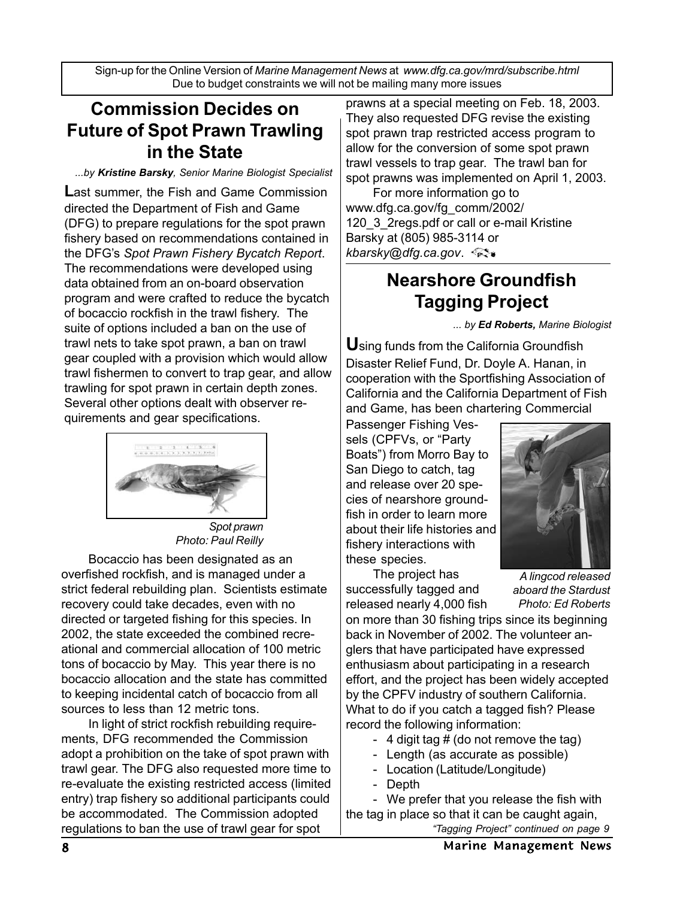Sign-up for the Online Version of *Marine Management News* at *www.dfg.ca.gov/mrd/subscribe.html* Due to budget constraints we will not be mailing many more issues

## **Commission Decides on Future of Spot Prawn Trawling in the State**

#### *...by Kristine Barsky, Senior Marine Biologist Specialist*

**L**ast summer, the Fish and Game Commission directed the Department of Fish and Game (DFG) to prepare regulations for the spot prawn fishery based on recommendations contained in the DFG's *Spot Prawn Fishery Bycatch Report*. The recommendations were developed using data obtained from an on-board observation program and were crafted to reduce the bycatch of bocaccio rockfish in the trawl fishery. The suite of options included a ban on the use of trawl nets to take spot prawn, a ban on trawl gear coupled with a provision which would allow trawl fishermen to convert to trap gear, and allow trawling for spot prawn in certain depth zones. Several other options dealt with observer requirements and gear specifications.



*Spot prawn Photo: Paul Reilly*

Bocaccio has been designated as an overfished rockfish, and is managed under a strict federal rebuilding plan. Scientists estimate recovery could take decades, even with no directed or targeted fishing for this species. In 2002, the state exceeded the combined recreational and commercial allocation of 100 metric tons of bocaccio by May. This year there is no bocaccio allocation and the state has committed to keeping incidental catch of bocaccio from all sources to less than 12 metric tons.

In light of strict rockfish rebuilding requirements, DFG recommended the Commission adopt a prohibition on the take of spot prawn with trawl gear. The DFG also requested more time to re-evaluate the existing restricted access (limited entry) trap fishery so additional participants could be accommodated. The Commission adopted regulations to ban the use of trawl gear for spot

prawns at a special meeting on Feb. 18, 2003. They also requested DFG revise the existing spot prawn trap restricted access program to allow for the conversion of some spot prawn trawl vessels to trap gear. The trawl ban for spot prawns was implemented on April 1, 2003.

For more information go to www.dfg.ca.gov/fg\_comm/2002/ 120 3 2regs.pdf or call or e-mail Kristine Barsky at (805) 985-3114 or *kbarsky@dfg.ca.gov*.

## **Nearshore Groundfish Tagging Project**

*... by Ed Roberts, Marine Biologist*

**U**sing funds from the California Groundfish Disaster Relief Fund, Dr. Doyle A. Hanan, in cooperation with the Sportfishing Association of California and the California Department of Fish and Game, has been chartering Commercial

Passenger Fishing Vessels (CPFVs, or "Party Boats") from Morro Bay to San Diego to catch, tag and release over 20 species of nearshore groundfish in order to learn more about their life histories and fishery interactions with these species.

The project has successfully tagged and released nearly 4,000 fish



*A lingcod released aboard the Stardust Photo: Ed Roberts*

on more than 30 fishing trips since its beginning back in November of 2002. The volunteer anglers that have participated have expressed enthusiasm about participating in a research effort, and the project has been widely accepted by the CPFV industry of southern California. What to do if you catch a tagged fish? Please record the following information:

- 4 digit tag  $#$  (do not remove the tag)
- Length (as accurate as possible)
- Location (Latitude/Longitude)
- Depth

- We prefer that you release the fish with the tag in place so that it can be caught again,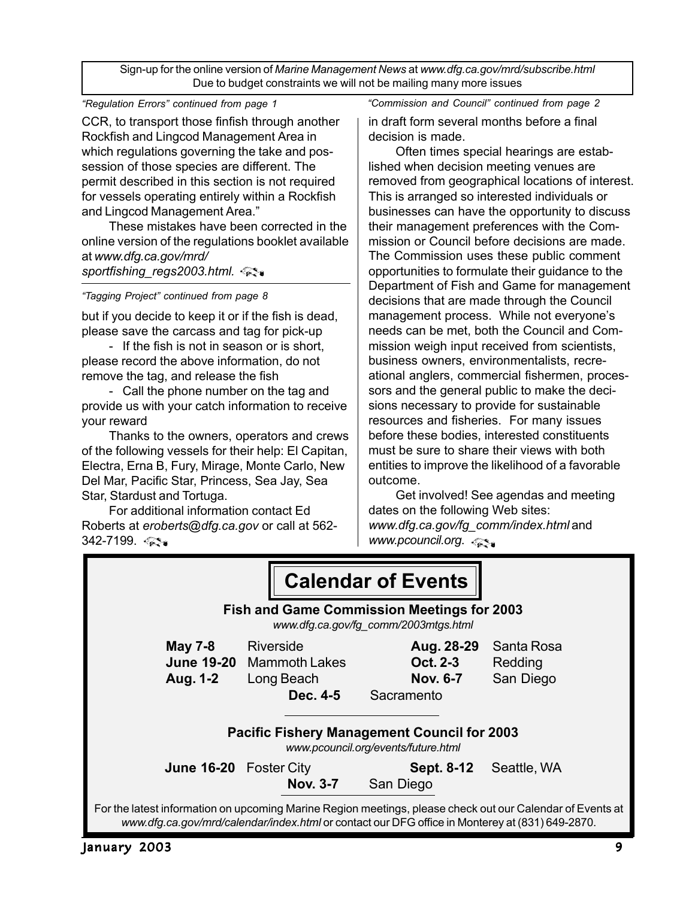Sign-up for the online version of *Marine Management News* at *www.dfg.ca.gov/mrd/subscribe.html* Due to budget constraints we will not be mailing many more issues

*"Regulation Errors" continued from page 1*

CCR, to transport those finfish through another Rockfish and Lingcod Management Area in which regulations governing the take and possession of those species are different. The permit described in this section is not required for vessels operating entirely within a Rockfish and Lingcod Management Area."

These mistakes have been corrected in the online version of the regulations booklet available at *www.dfg.ca.gov/mrd/ sportfishing\_regs2003.html.*

*"Tagging Project" continued from page 8*

but if you decide to keep it or if the fish is dead, please save the carcass and tag for pick-up

- If the fish is not in season or is short, please record the above information, do not remove the tag, and release the fish

- Call the phone number on the tag and provide us with your catch information to receive your reward

Thanks to the owners, operators and crews of the following vessels for their help: El Capitan, Electra, Erna B, Fury, Mirage, Monte Carlo, New Del Mar, Pacific Star, Princess, Sea Jay, Sea Star, Stardust and Tortuga.

For additional information contact Ed Roberts at *eroberts@dfg.ca.gov* or call at 562- 342-7199. <ు

*"Commission and Council" continued from page 2*

in draft form several months before a final decision is made.

Often times special hearings are established when decision meeting venues are removed from geographical locations of interest. This is arranged so interested individuals or businesses can have the opportunity to discuss their management preferences with the Commission or Council before decisions are made. The Commission uses these public comment opportunities to formulate their guidance to the Department of Fish and Game for management decisions that are made through the Council management process. While not everyone's needs can be met, both the Council and Commission weigh input received from scientists, business owners, environmentalists, recreational anglers, commercial fishermen, processors and the general public to make the decisions necessary to provide for sustainable resources and fisheries. For many issues before these bodies, interested constituents must be sure to share their views with both entities to improve the likelihood of a favorable outcome.

Get involved! See agendas and meeting dates on the following Web sites: *www.dfg.ca.gov/fg\_comm/index.html* and *www.pcouncil.org*.

|                                                                                                                                                                                                              |                  |                        | <b>Calendar of Events</b>                               |                                    |  |  |  |  |  |
|--------------------------------------------------------------------------------------------------------------------------------------------------------------------------------------------------------------|------------------|------------------------|---------------------------------------------------------|------------------------------------|--|--|--|--|--|
| <b>Fish and Game Commission Meetings for 2003</b><br>www.dfg.ca.gov/fg_comm/2003mtgs.html                                                                                                                    |                  |                        |                                                         |                                    |  |  |  |  |  |
| <b>May 7-8</b><br>June 19-20 Mammoth Lakes<br>Aug. 1-2                                                                                                                                                       | <b>Riverside</b> | Long Beach<br>Dec. 4-5 | Aug. 28-29<br>Oct. 2-3<br><b>Nov. 6-7</b><br>Sacramento | Santa Rosa<br>Redding<br>San Diego |  |  |  |  |  |
| <b>Pacific Fishery Management Council for 2003</b><br>www.pcouncil.org/events/future.html                                                                                                                    |                  |                        |                                                         |                                    |  |  |  |  |  |
| June 16-20 Foster City                                                                                                                                                                                       |                  | <b>Nov. 3-7</b>        | <b>Sept. 8-12</b><br>San Diego                          | Seattle, WA                        |  |  |  |  |  |
| For the latest information on upcoming Marine Region meetings, please check out our Calendar of Events at<br>www.dfg.ca.gov/mrd/calendar/index.html or contact our DFG office in Monterey at (831) 649-2870. |                  |                        |                                                         |                                    |  |  |  |  |  |